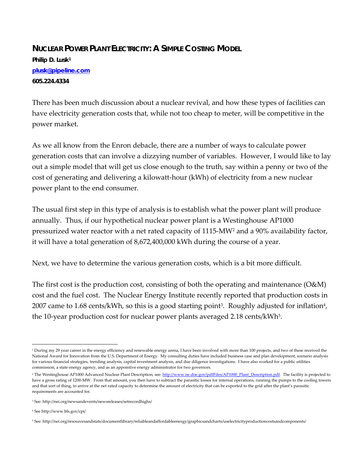## **NUCLEAR POWER PLANT ELECTRICITY: A SIMPLE COSTING MODEL**

**Philip D. Lusk1 plusk@pipeline.com 605.224.4334** 

There has been much discussion about a nuclear revival, and how these types of facilities can have electricity generation costs that, while not too cheap to meter, will be competitive in the power market.

As we all know from the Enron debacle, there are a number of ways to calculate power generation costs that can involve a dizzying number of variables. However, I would like to lay out a simple model that will get us close enough to the truth, say within a penny or two of the cost of generating and delivering a kilowatt-hour (kWh) of electricity from a new nuclear power plant to the end consumer.

The usual first step in this type of analysis is to establish what the power plant will produce annually. Thus, if our hypothetical nuclear power plant is a Westinghouse AP1000 pressurized water reactor with a net rated capacity of 1115-MW2 and a 90% availability factor, it will have a total generation of 8,672,400,000 kWh during the course of a year.

Next, we have to determine the various generation costs, which is a bit more difficult.

The first cost is the production cost, consisting of both the operating and maintenance (O&M) cost and the fuel cost. The Nuclear Energy Institute recently reported that production costs in 2007 came to 1.68 cents/kWh, so this is a good starting point<sup>3</sup>. Roughly adjusted for inflation<sup>4</sup>, the 10-year production cost for nuclear power plants averaged 2.18 cents/kWh<sup>5</sup>.

4 See http://www.bls.gov/cpi/

 $\overline{a}$ 

<sup>&</sup>lt;sup>1</sup> During my 29 year career in the energy efficiency and renewable energy arena, I have been involved with more than 100 projects, and two of these received the National Award for Innovation from the U.S. Department of Energy. My consulting duties have included business case and plan development, scenario analysis for various financial strategies, trending analysis, capital investment analysis, and due diligence investigations. I have also worked for a public utilities commission, a state energy agency, and as an appointive energy administrator for two governors.

<sup>&</sup>lt;sup>2</sup> The Westinghouse AP1000 Advanced Nuclear Plant Description, see: http://www.ne.doe.gov/pdfFiles/AP1000\_Plant\_Description.pdf. The facility is projected to have a gross rating of 1200-MW. From that amount, you then have to subtract the parasitic losses for internal operations, running the pumps to the cooling towers and that sort of thing, to arrive at the net rated capacity to determine the amount of electricity that can be exported to the grid after the plant's parasitic requirements are accounted for.

<sup>3</sup> See: http://nei.org/newsandevents/newsreleases/setrecordhighs/

<sup>5</sup> See: http://nei.org/resourcesandstats/documentlibrary/reliableandaffordableenergy/graphicsandcharts/uselectricityproductioncostsandcomponents/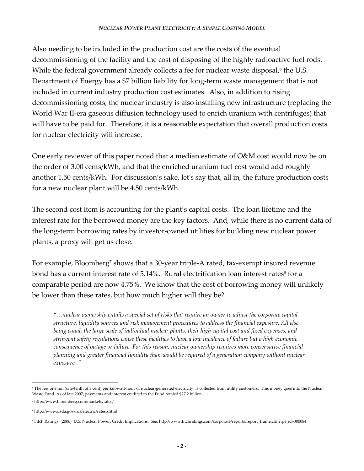## *NUCLEAR POWER PLANT ELECTRICITY: A SIMPLE COSTING MODEL*

Also needing to be included in the production cost are the costs of the eventual decommissioning of the facility and the cost of disposing of the highly radioactive fuel rods. While the federal government already collects a fee for nuclear waste disposal, $\epsilon$  the U.S. Department of Energy has a \$7 billion liability for long-term waste management that is not included in current industry production cost estimates. Also, in addition to rising decommissioning costs, the nuclear industry is also installing new infrastructure (replacing the World War II-era gaseous diffusion technology used to enrich uranium with centrifuges) that will have to be paid for. Therefore, it is a reasonable expectation that overall production costs for nuclear electricity will increase.

One early reviewer of this paper noted that a median estimate of O&M cost would now be on the order of 3.00 cents/kWh, and that the enriched uranium fuel cost would add roughly another 1.50 cents/kWh. For discussion's sake, let's say that, all in, the future production costs for a new nuclear plant will be 4.50 cents/kWh.

The second cost item is accounting for the plant's capital costs. The loan lifetime and the interest rate for the borrowed money are the key factors. And, while there is no current data of the long-term borrowing rates by investor-owned utilities for building new nuclear power plants, a proxy will get us close.

For example, Bloomberg<sup>7</sup> shows that a 30-year triple-A rated, tax-exempt insured revenue bond has a current interest rate of 5.14%. Rural electrification loan interest rates<sup>8</sup> for a comparable period are now 4.75%. We know that the cost of borrowing money will unlikely be lower than these rates, but how much higher will they be?

*"…nuclear ownership entails a special set of risks that require an owner to adjust the corporate capital structure, liquidity sources and risk management procedures to address the financial exposure. All else being equal, the large scale of individual nuclear plants, their high capital cost and fixed expenses, and stringent safety regulations cause these facilities to have a low incidence of failure but a high economic consequence of outage or failure. For this reason, nuclear ownership requires more conservative financial planning and greater financial liquidity than would be required of a generation company without nuclear exposure9."* 

 $\overline{a}$ 6 The fee, one mil (one-tenth of a cent) per kilowatt-hour of nuclear-generated electricity, is collected from utility customers. This money goes into the Nuclear Waste Fund. As of late 2007, payments and interest credited to the Fund totaled \$27.2 billion.

<sup>7</sup> http://www.bloomberg.com/markets/rates/

<sup>8</sup> http://www.usda.gov/rus/electric/rates.shtml

<sup>9</sup> Fitch Ratings. (2006) U.S. Nuclear Power: Credit Implications. See: http://www.fitchratings.com/corporate/reports/report\_frame.cfm?rpt\_id=300084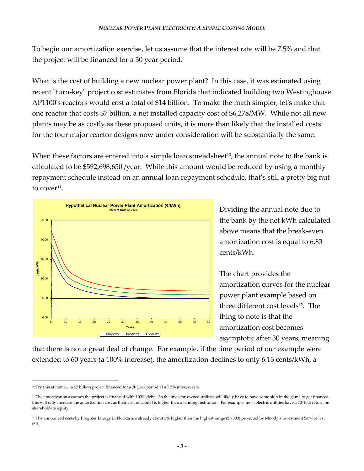To begin our amortization exercise, let us assume that the interest rate will be 7.5% and that the project will be financed for a 30 year period.

What is the cost of building a new nuclear power plant? In this case, it was estimated using recent "turn-key" project cost estimates from Florida that indicated building two Westinghouse AP1100's reactors would cost a total of \$14 billion. To make the math simpler, let's make that one reactor that costs \$7 billion, a net installed capacity cost of \$6,278/MW. While not all new plants may be as costly as these proposed units, it is more than likely that the installed costs for the four major reactor designs now under consideration will be substantially the same.

When these factors are entered into a simple loan spreadsheet<sup>10</sup>, the annual note to the bank is calculated to be \$592,698,650 /year. While this amount would be reduced by using a monthly repayment schedule instead on an annual loan repayment schedule, that's still a pretty big nut to cover $11$ .



Dividing the annual note due to the bank by the net kWh calculated above means that the break-even amortization cost is equal to 6.83 cents/kWh.

The chart provides the amortization curves for the nuclear power plant example based on three different cost levels<sup>12</sup>. The thing to note is that the amortization cost becomes asymptotic after 30 years, meaning

that there is not a great deal of change. For example, if the time period of our example were extended to 60 years (a 100% increase), the amortization declines to only 6.13 cents/kWh, a

 $\overline{a}$ <sup>10</sup> Try this at home... a \$7 billion project financed for a 30 year period at a 7.5% interest rate.

<sup>&</sup>lt;sup>11</sup> The amortization assumes the project is financed with 100% debt. As the investor-owned utilities will likely have to have some skin in the game to get financed, this will only increase the amortization cost as their cost of capital is higher than a lending institution. For example, most electric utilities have a 10-15% return on shareholders equity.

<sup>&</sup>lt;sup>12</sup> The announced costs by Progress Energy in Florida are already about 5% higher than the highest range (\$6,000) projected by Moody's Investment Service last fall.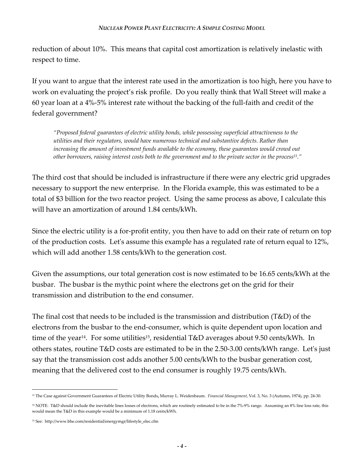reduction of about 10%. This means that capital cost amortization is relatively inelastic with respect to time.

If you want to argue that the interest rate used in the amortization is too high, here you have to work on evaluating the project's risk profile. Do you really think that Wall Street will make a 60 year loan at a 4%-5% interest rate without the backing of the full-faith and credit of the federal government?

*"Proposed federal guarantees of electric utility bonds, while possessing superficial attractiveness to the utilities and their regulators, would have numerous technical and substantive defects. Rather than increasing the amount of investment funds available to the economy, these guarantees would crowd out other borrowers, raising interest costs both to the government and to the private sector in the process13."* 

The third cost that should be included is infrastructure if there were any electric grid upgrades necessary to support the new enterprise. In the Florida example, this was estimated to be a total of \$3 billion for the two reactor project. Using the same process as above, I calculate this will have an amortization of around 1.84 cents/kWh.

Since the electric utility is a for-profit entity, you then have to add on their rate of return on top of the production costs. Let's assume this example has a regulated rate of return equal to 12%, which will add another 1.58 cents/kWh to the generation cost.

Given the assumptions, our total generation cost is now estimated to be 16.65 cents/kWh at the busbar. The busbar is the mythic point where the electrons get on the grid for their transmission and distribution to the end consumer.

The final cost that needs to be included is the transmission and distribution ( $T\&D$ ) of the electrons from the busbar to the end-consumer, which is quite dependent upon location and time of the year<sup>14</sup>. For some utilities<sup>15</sup>, residential T&D averages about 9.50 cents/kWh. In others states, routine T&D costs are estimated to be in the 2.50-3.00 cents/kWh range. Let's just say that the transmission cost adds another 5.00 cents/kWh to the busbar generation cost, meaning that the delivered cost to the end consumer is roughly 19.75 cents/kWh.

 $\overline{a}$ 

<sup>13</sup> The Case against Government Guarantees of Electric Utility Bonds**,** Murray L. Weidenbaum. *Financial Management*, Vol. 3, No. 3 (Autumn, 1974), pp. 24-30.

<sup>&</sup>lt;sup>14</sup> NOTE: T&D should include the inevitable lines losses of electrons, which are routinely estimated to be in the 7%-9% range. Assuming an 8% line loss rate, this would mean the T&D in this example would be a minimum of 1.18 cents/kWh.

<sup>15</sup> See: http://www.bhe.com/residential/energymgr/lifestyle\_elec.cfm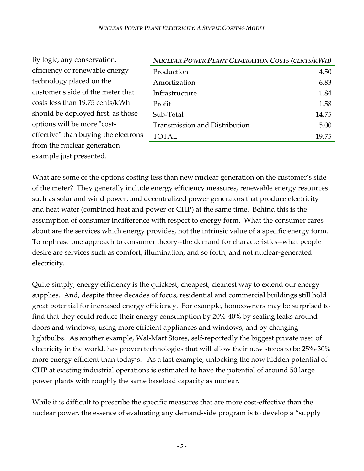| By logic, any conservation,          |
|--------------------------------------|
| efficiency or renewable energy       |
| technology placed on the             |
| customer's side of the meter that    |
| costs less than 19.75 cents/kWh      |
| should be deployed first, as those   |
| options will be more "cost-          |
| effective" than buying the electrons |
| from the nuclear generation          |
| example just presented.              |

| <b>NUCLEAR POWER PLANT GENERATION COSTS (CENTS/KWH)</b> |       |
|---------------------------------------------------------|-------|
| Production                                              | 4.50  |
| Amortization                                            | 6.83  |
| Infrastructure                                          | 1.84  |
| Profit                                                  | 1.58  |
| Sub-Total                                               | 14.75 |
| <b>Transmission and Distribution</b>                    | 5.00  |
| <b>TOTAL</b>                                            | 19.75 |

What are some of the options costing less than new nuclear generation on the customer's side of the meter? They generally include energy efficiency measures, renewable energy resources such as solar and wind power, and decentralized power generators that produce electricity and heat water (combined heat and power or CHP) at the same time. Behind this is the assumption of consumer indifference with respect to energy form. What the consumer cares about are the services which energy provides, not the intrinsic value of a specific energy form. To rephrase one approach to consumer theory--the demand for characteristics--what people desire are services such as comfort, illumination, and so forth, and not nuclear-generated electricity.

Quite simply, energy efficiency is the quickest, cheapest, cleanest way to extend our energy supplies. And, despite three decades of focus, residential and commercial buildings still hold great potential for increased energy efficiency. For example, homeowners may be surprised to find that they could reduce their energy consumption by 20%-40% by sealing leaks around doors and windows, using more efficient appliances and windows, and by changing lightbulbs. As another example, Wal-Mart Stores, self-reportedly the biggest private user of electricity in the world, has proven technologies that will allow their new stores to be 25%-30% more energy efficient than today's. As a last example, unlocking the now hidden potential of CHP at existing industrial operations is estimated to have the potential of around 50 large power plants with roughly the same baseload capacity as nuclear.

While it is difficult to prescribe the specific measures that are more cost-effective than the nuclear power, the essence of evaluating any demand-side program is to develop a "supply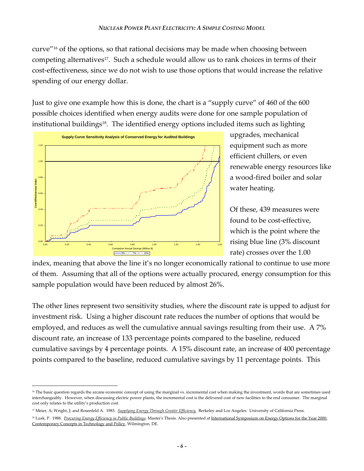curve"16 of the options, so that rational decisions may be made when choosing between competing alternatives<sup>17</sup>. Such a schedule would allow us to rank choices in terms of their cost-effectiveness, since we do not wish to use those options that would increase the relative spending of our energy dollar.

Just to give one example how this is done, the chart is a "supply curve" of 460 of the 600 possible choices identified when energy audits were done for one sample population of institutional buildings<sup>18</sup>. The identified energy options included items such as lighting



 $\overline{a}$ 

upgrades, mechanical equipment such as more efficient chillers, or even renewable energy resources like a wood-fired boiler and solar water heating.

Of these, 439 measures were found to be cost-effective, which is the point where the rising blue line (3% discount rate) crosses over the 1.00

index, meaning that above the line it's no longer economically rational to continue to use more of them. Assuming that all of the options were actually procured, energy consumption for this sample population would have been reduced by almost 26%.

The other lines represent two sensitivity studies, where the discount rate is upped to adjust for investment risk. Using a higher discount rate reduces the number of options that would be employed, and reduces as well the cumulative annual savings resulting from their use. A 7% discount rate, an increase of 133 percentage points compared to the baseline, reduced cumulative savings by 4 percentage points. A 15% discount rate, an increase of 400 percentage points compared to the baseline, reduced cumulative savings by 11 percentage points. This

<sup>&</sup>lt;sup>16</sup> The basic question regards the arcane economic concept of using the marginal vs. incremental cost when making the investment, words that are sometimes used interchangeably. However, when discussing electric power plants, the incremental cost is the delivered cost of new facilities to the end consumer. The marginal cost only relates to the utility's production cost.

<sup>&</sup>lt;sup>17</sup> Meier, A; Wright, J; and Rosenfeld A. 1983. *Supplying Energy Through Greater Efficiency*. Berkeley and Los Angeles: University of California Press.

<sup>&</sup>lt;sup>18</sup> Lusk, P. 1988. *Procuring Energy Efficiency in Public Buildings*. Master's Thesis. Also presented at International Symposium on Energy Options for the Year 2000: Contemporary Concepts in Technology and Policy, Wilmington, DE.